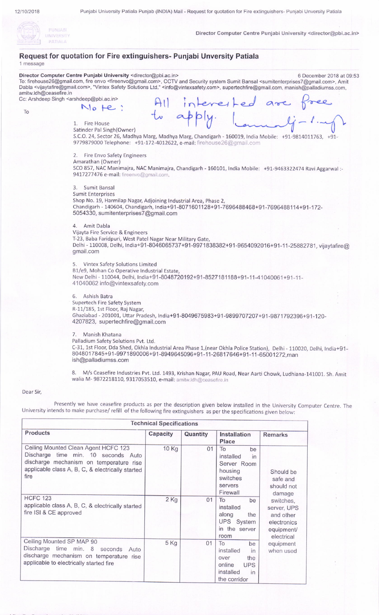

Director Computer Centre Puniabi University <director@pbi.ac.in>

| Request for quotation for Fire extinguishers- Punjabi Unversity Patiala<br>1 message |                                                                                                                                                                                                                                                                                                                                                                                                                                                                                                                                                                             |  |  |  |  |  |  |
|--------------------------------------------------------------------------------------|-----------------------------------------------------------------------------------------------------------------------------------------------------------------------------------------------------------------------------------------------------------------------------------------------------------------------------------------------------------------------------------------------------------------------------------------------------------------------------------------------------------------------------------------------------------------------------|--|--|--|--|--|--|
| amitw.ldh@ceasefire.in                                                               | Director Computer Centre Punjabi University <director@pbi.ac.in><br/>6 December 2018 at 09:53<br/>To: firehouse26@gmail.com, fire envo <fireenvo@gmail.com>, CCTV and Security system Sumit Bansal <sumitenterprises7@gmail.com>, Amit<br/>Dabla <vijaytafire@gmail.com>, "Vintex Safety Solutions Ltd." <info@vintexsafety.com>, supertechfire@gmail.com, manish@palladiumss.com,<br/>Cc: Arshdeep Singh <arshdeep@pbi.ac.in></arshdeep@pbi.ac.in></info@vintexsafety.com></vijaytafire@gmail.com></sumitenterprises7@gmail.com></fireenvo@gmail.com></director@pbi.ac.in> |  |  |  |  |  |  |
|                                                                                      |                                                                                                                                                                                                                                                                                                                                                                                                                                                                                                                                                                             |  |  |  |  |  |  |
| To                                                                                   | $N$ <sub>0</sub> $He$ :                                                                                                                                                                                                                                                                                                                                                                                                                                                                                                                                                     |  |  |  |  |  |  |
|                                                                                      | All interested are free<br>to apply. 1. li-1.my<br>to apply.<br>1. Fire House<br>Satinder Pal Singh(Owner)<br>S.C.O. 24, Sector 26, Madhya Marg, Madhya Marg, Chandigarh - 160019, India Mobile: +91-9814011763, +91-<br>9779879000 Telephone: +91-172-4012622, e-mail: firehouse26@gmail.com                                                                                                                                                                                                                                                                               |  |  |  |  |  |  |
|                                                                                      | 2. Fire Envo Safety Engineers                                                                                                                                                                                                                                                                                                                                                                                                                                                                                                                                               |  |  |  |  |  |  |
|                                                                                      | Amarathan (Owner)                                                                                                                                                                                                                                                                                                                                                                                                                                                                                                                                                           |  |  |  |  |  |  |
|                                                                                      | SCO 857, NAC Manimajra, NAC Manimajra, Chandigarh - 160101, India Mobile: +91-9463322474 Ravi Aggarwal :-<br>9417277476 e-mail: fireenvo@gmail.com,                                                                                                                                                                                                                                                                                                                                                                                                                         |  |  |  |  |  |  |
|                                                                                      | 3. Sumit Bansal                                                                                                                                                                                                                                                                                                                                                                                                                                                                                                                                                             |  |  |  |  |  |  |
|                                                                                      | <b>Sumit Enterprises</b>                                                                                                                                                                                                                                                                                                                                                                                                                                                                                                                                                    |  |  |  |  |  |  |
|                                                                                      | Shop No. 19, Harmilap Nagar, Adjoining Industrial Area, Phase 2,                                                                                                                                                                                                                                                                                                                                                                                                                                                                                                            |  |  |  |  |  |  |
|                                                                                      | Chandigarh - 140604, Chandigarh, India+91-8071601128+91-7696488468+91-7696488114+91-172-<br>5054330, sumitenterprises7@gmail.com                                                                                                                                                                                                                                                                                                                                                                                                                                            |  |  |  |  |  |  |
|                                                                                      | 4. Amit Dabla                                                                                                                                                                                                                                                                                                                                                                                                                                                                                                                                                               |  |  |  |  |  |  |
|                                                                                      | Vijayta Fire Service & Engineers                                                                                                                                                                                                                                                                                                                                                                                                                                                                                                                                            |  |  |  |  |  |  |
|                                                                                      | T-23, Baba Faridpuri, West Patel Nagar Near Military Gate,                                                                                                                                                                                                                                                                                                                                                                                                                                                                                                                  |  |  |  |  |  |  |
|                                                                                      | Delhi - 110008, Delhi, India+91-8046065737+91-9971838382+91-9654092016+91-11-25882781, vijaytafire@<br>gmail.com                                                                                                                                                                                                                                                                                                                                                                                                                                                            |  |  |  |  |  |  |
|                                                                                      | 5. Vintex Safety Solutions Limited                                                                                                                                                                                                                                                                                                                                                                                                                                                                                                                                          |  |  |  |  |  |  |
|                                                                                      | B1/e9, Mohan Co Operative Industrial Estate,                                                                                                                                                                                                                                                                                                                                                                                                                                                                                                                                |  |  |  |  |  |  |
|                                                                                      | New Delhi - 110044, Delhi, India+91-8048720192+91-8527181188+91-11-41040061+91-11-                                                                                                                                                                                                                                                                                                                                                                                                                                                                                          |  |  |  |  |  |  |
|                                                                                      | 41040062 info@vintexsafety.com                                                                                                                                                                                                                                                                                                                                                                                                                                                                                                                                              |  |  |  |  |  |  |
|                                                                                      |                                                                                                                                                                                                                                                                                                                                                                                                                                                                                                                                                                             |  |  |  |  |  |  |
|                                                                                      | 6. Ashish Batra                                                                                                                                                                                                                                                                                                                                                                                                                                                                                                                                                             |  |  |  |  |  |  |
|                                                                                      | Supertech Fire Safety System                                                                                                                                                                                                                                                                                                                                                                                                                                                                                                                                                |  |  |  |  |  |  |
|                                                                                      | R-11/185, 1st Floor, Raj Nagar,                                                                                                                                                                                                                                                                                                                                                                                                                                                                                                                                             |  |  |  |  |  |  |
|                                                                                      | Ghaziabad - 201001, Uttar Pradesh, India+91-8049675983+91-9899707207+91-9871792396+91-120-<br>4207823, supertechfire@gmail.com                                                                                                                                                                                                                                                                                                                                                                                                                                              |  |  |  |  |  |  |
|                                                                                      | 7. Manish Khatana                                                                                                                                                                                                                                                                                                                                                                                                                                                                                                                                                           |  |  |  |  |  |  |
|                                                                                      | Palladium Safety Solutions Pvt. Ltd.                                                                                                                                                                                                                                                                                                                                                                                                                                                                                                                                        |  |  |  |  |  |  |
|                                                                                      | C-31, 1st Floor, Dda Shed, Okhla Industrial Area Phase 1, (near Okhla Police Station), Delhi - 110020, Delhi, India+91-<br>8048017845+91-9971890006+91-8949645096+91-11-26817646+91-11-65001272,man<br>ish@palladiumss.com                                                                                                                                                                                                                                                                                                                                                  |  |  |  |  |  |  |
|                                                                                      | 8. M/s Ceasefire Industries Pvt. Ltd. 1493, Krishan Nagar, PAU Road, Near Aarti Chowk, Ludhiana-141001. Sh. Amit<br>walia M- 9872218110, 9317053510, e-mail: amitw.ldh@ceasefire.in                                                                                                                                                                                                                                                                                                                                                                                         |  |  |  |  |  |  |
| Dear Sir,                                                                            |                                                                                                                                                                                                                                                                                                                                                                                                                                                                                                                                                                             |  |  |  |  |  |  |
|                                                                                      |                                                                                                                                                                                                                                                                                                                                                                                                                                                                                                                                                                             |  |  |  |  |  |  |
|                                                                                      | Presently we have ceasefire products as per the description given below installed in the University Computer Centre. The<br>University intends to make purchase/refill of the following fire extinguishers as per the specifications given below:                                                                                                                                                                                                                                                                                                                           |  |  |  |  |  |  |

| <b>Technical Specifications</b>                                                                                                                                                    |          |          |                                                                                                       |                                                                                                                                                             |  |  |  |  |  |
|------------------------------------------------------------------------------------------------------------------------------------------------------------------------------------|----------|----------|-------------------------------------------------------------------------------------------------------|-------------------------------------------------------------------------------------------------------------------------------------------------------------|--|--|--|--|--|
| <b>Products</b>                                                                                                                                                                    | Capacity | Quantity | <b>Installation</b><br><b>Place</b>                                                                   | <b>Remarks</b>                                                                                                                                              |  |  |  |  |  |
| Ceiling Mounted Clean Agent HCFC 123<br>Discharge time min. 10 seconds Auto<br>discharge mechanism on temperature rise<br>applicable class A, B, C, & electrically started<br>fire | 10 Kg    | 01       | To<br>be<br>installed<br>in<br>Server Room<br>housing<br>switches<br>servers<br>Firewall              | Should be<br>safe and<br>should not<br>damage<br>switches,<br>server, UPS<br>and other<br>electronics<br>equipment/<br>electrical<br>equipment<br>when used |  |  |  |  |  |
| <b>HCFC 123</b><br>applicable class A, B, C, & electrically started<br>fire ISI & CE approved                                                                                      | $2$ Kg   | 01       | To<br>be<br>installed<br>along<br>the<br>UPS System<br>in the server<br>room                          |                                                                                                                                                             |  |  |  |  |  |
| Ceiling Mounted SP MAP 90<br>Discharge time min. 8<br>seconds<br>Auto<br>discharge mechanism on temperature rise<br>applicable to electrically started fire                        | 5 Kg     | 01       | To<br>be<br>installed<br>in<br>over<br>the<br>online<br><b>UPS</b><br>installed<br>in<br>the corridor |                                                                                                                                                             |  |  |  |  |  |